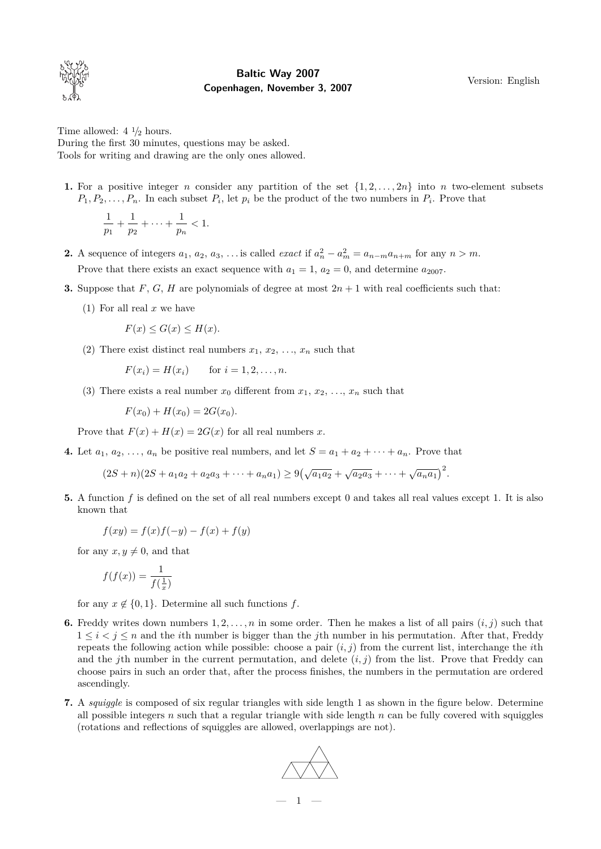

## **Baltic Way 2007 Copenhagen, November 3, 2007**

Version: English

Time allowed:  $4 \frac{1}{2}$  hours. During the first 30 minutes, questions may be asked. Tools for writing and drawing are the only ones allowed.

**1.** For a positive integer *n* consider any partition of the set  $\{1, 2, \ldots, 2n\}$  into *n* two-element subsets  $P_1, P_2, \ldots, P_n$ . In each subset  $P_i$ , let  $p_i$  be the product of the two numbers in  $P_i$ . Prove that

$$
\frac{1}{p_1} + \frac{1}{p_2} + \cdots + \frac{1}{p_n} < 1.
$$

- **2.** A sequence of integers  $a_1, a_2, a_3, \ldots$  is called *exact* if  $a_n^2 a_m^2 = a_{n-m}a_{n+m}$  for any  $n > m$ . Prove that there exists an exact sequence with  $a_1 = 1$ ,  $a_2 = 0$ , and determine  $a_{2007}$ .
- **3.** Suppose that *F*, *G*, *H* are polynomials of degree at most  $2n + 1$  with real coefficients such that:
	- (1) For all real *x* we have

$$
F(x) \le G(x) \le H(x).
$$

(2) There exist distinct real numbers  $x_1, x_2, \ldots, x_n$  such that

$$
F(x_i) = H(x_i)
$$
 for  $i = 1, 2, ..., n$ .

(3) There exists a real number  $x_0$  different from  $x_1, x_2, \ldots, x_n$  such that

$$
F(x_0) + H(x_0) = 2G(x_0).
$$

Prove that  $F(x) + H(x) = 2G(x)$  for all real numbers *x*.

**4.** Let  $a_1, a_2, \ldots, a_n$  be positive real numbers, and let  $S = a_1 + a_2 + \cdots + a_n$ . Prove that

 $(2S+n)(2S+a_1a_2+a_2a_3+\cdots+a_na_1) \geq 9(\sqrt{a_1a_2}+\sqrt{a_2a_3}+\cdots+\sqrt{a_na_1})^2$ .

**5.** A function *f* is defined on the set of all real numbers except 0 and takes all real values except 1. It is also known that

$$
f(xy) = f(x)f(-y) - f(x) + f(y)
$$

for any  $x, y \neq 0$ , and that

$$
f(f(x)) = \frac{1}{f(\frac{1}{x})}
$$

for any  $x \notin \{0, 1\}$ . Determine all such functions  $f$ .

- **6.** Freddy writes down numbers  $1, 2, \ldots, n$  in some order. Then he makes a list of all pairs  $(i, j)$  such that 1 *≤ i < j ≤ n* and the *i*th number is bigger than the *j*th number in his permutation. After that, Freddy repeats the following action while possible: choose a pair  $(i, j)$  from the current list, interchange the *i*th and the *j*th number in the current permutation, and delete  $(i, j)$  from the list. Prove that Freddy can choose pairs in such an order that, after the process finishes, the numbers in the permutation are ordered ascendingly.
- **7.** A *squiggle* is composed of six regular triangles with side length 1 as shown in the figure below. Determine all possible integers *n* such that a regular triangle with side length  $n$  can be fully covered with squiggles (rotations and reflections of squiggles are allowed, overlappings are not).